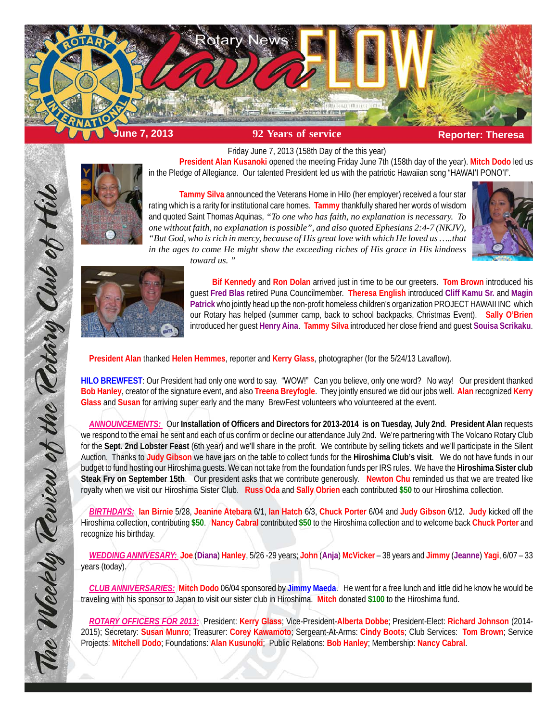



**Tammy Silva** announced the Veterans Home in Hilo (her employer) received a four star rating which is a rarity for institutional care homes. **Tammy** thankfully shared her words of wisdom and quoted Saint Thomas Aquinas, *"To one who has faith, no explanation is necessary. To one without faith, no explanation is possible", and also quoted Ephesians 2:4-7 (NKJV), "But God, who is rich in mercy, because of His great love with which He loved us …..that in the ages to come He might show the exceeding riches of His grace in His kindness*

Friday June 7, 2013 (158th Day of the this year)

in the Pledge of Allegiance. Our talented President led us with the patriotic Hawaiian song "HAWAI'I PONO'I".





**Bif Kennedy** and **Ron Dolan** arrived just in time to be our greeters. **Tom Brown** introduced his guest **Fred Blas** retired Puna Councilmember. **Theresa English** introduced **Cliff Kamu Sr.** and **Magin Patrick** who jointly head up the non-profit homeless children's organization PROJECT HAWAII INC which our Rotary has helped (summer camp, back to school backpacks, Christmas Event). **Sally O'Brien** introduced her guest **Henry Aina**. **Tammy Silva** introduced her close friend and guest **Souisa Scrikaku**.

**President Alan Kusanoki** opened the meeting Friday June 7th (158th day of the year). **Mitch Dodo** led us

**President Alan** thanked **Helen Hemmes**, reporter and **Kerry Glass**, photographer (for the 5/24/13 Lavaflow).

*toward us. "*

**HILO BREWFEST**: Our President had only one word to say. "WOW!" Can you believe, only one word? No way! Our president thanked **Bob Hanley**, creator of the signature event, and also **Treena Breyfogle**. They jointly ensured we did our jobs well. **Alan** recognized **Kerry Glass** and **Susan** for arriving super early and the many BrewFest volunteers who volunteered at the event.

*ANNOUNCEMENTS:* Our **Installation of Officers and Directors for 2013-2014 is on Tuesday, July 2nd**. **President Alan** requests we respond to the email he sent and each of us confirm or decline our attendance July 2nd. We're partnering with The Volcano Rotary Club for the **Sept. 2nd Lobster Feast** (6th year) and we'll share in the profit. We contribute by selling tickets and we'll participate in the Silent Auction. Thanks to **Judy Gibson** we have jars on the table to collect funds for the **Hiroshima Club's visit**. We do not have funds in our budget to fund hosting our Hiroshima guests. We can not take from the foundation funds per IRS rules. We have the **Hiroshima Sister club Steak Fry on September 15th**. Our president asks that we contribute generously. **Newton Chu** reminded us that we are treated like royalty when we visit our Hiroshima Sister Club. **Russ Oda** and **Sally Obrien** each contributed **\$50** to our Hiroshima collection.

*BIRTHDAYS:* **Ian Birnie** 5/28, **Jeanine Atebara** 6/1, **Ian Hatch** 6/3, **Chuck Porter** 6/04 and **Judy Gibson** 6/12. **Judy** kicked off the Hiroshima collection, contributing **\$50**. **Nancy Cabral** contributed **\$50** to the Hiroshima collection and to welcome back **Chuck Porter** and recognize his birthday.

*WEDDING ANNIVESARY:* **Joe** (**Diana**) **Hanley**, 5/26 -29 years; **John** (**Anja**) **McVicker** – 38 years and **Jimmy** (**Jeanne**) **Yagi**, 6/07 – 33 years (today).

*CLUB ANNIVERSARIES:* **Mitch Dodo** 06/04 sponsored by **Jimmy Maeda**. He went for a free lunch and little did he know he would be traveling with his sponsor to Japan to visit our sister club in Hiroshima. **Mitch** donated **\$100** to the Hiroshima fund.

*ROTARY OFFICERS FOR 2013:* President: **Kerry Glass**; Vice-President-**Alberta Dobbe**; President-Elect: **Richard Johnson** (2014- 2015); Secretary: **Susan Munro**; Treasurer: **Corey Kawamoto**; Sergeant-At-Arms: **Cindy Boots**; Club Services: **Tom Brown**; Service Projects: **Mitchell Dodo**; Foundations: **Alan Kusunoki**; Public Relations: **Bob Hanley**; Membership: **Nancy Cabral**.